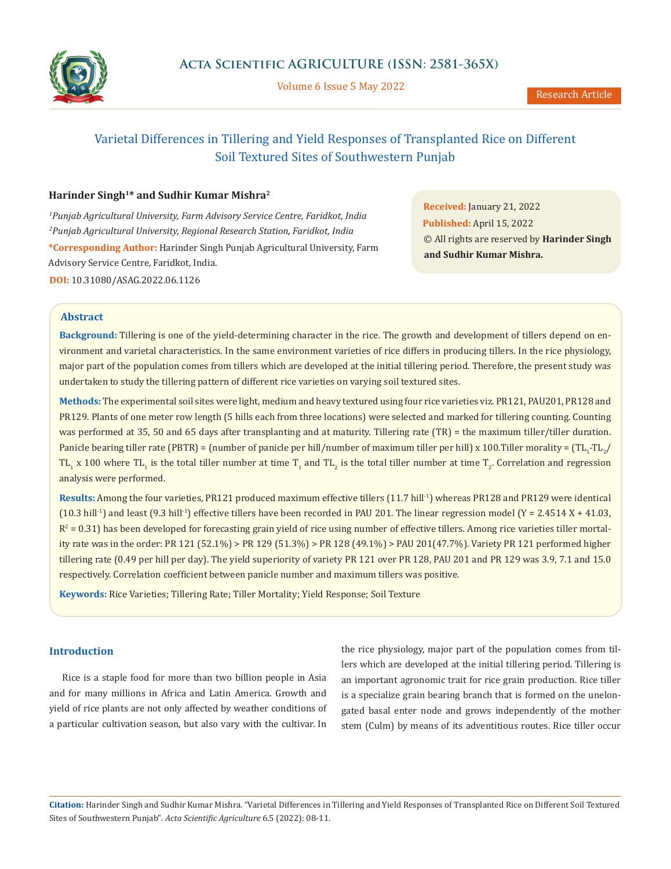

Volume 6 Issue 5 May 2022

# Varietal Differences in Tillering and Yield Responses of Transplanted Rice on Different Soil Textured Sites of Southwestern Punjab

## **Harinder Singh1\* and Sudhir Kumar Mishra2**

*1 Punjab Agricultural University, Farm Advisory Service Centre, Faridkot, India 2 Punjab Agricultural University, Regional Research Station, Faridkot, India* **\*Corresponding Author:** Harinder Singh Punjab Agricultural University, Farm Advisory Service Centre, Faridkot, India. **DOI:** [10.31080/ASAG.2022.06.1126](https://actascientific.com/ASAG/pdf/ASAG-06-1126.pdf)

**Received:** January 21, 2022 **Published:** April 15, 2022 © All rights are reserved by **Harinder Singh and Sudhir Kumar Mishra.**

## **Abstract**

**Background:** Tillering is one of the yield-determining character in the rice. The growth and development of tillers depend on environment and varietal characteristics. In the same environment varieties of rice differs in producing tillers. In the rice physiology, major part of the population comes from tillers which are developed at the initial tillering period. Therefore, the present study was undertaken to study the tillering pattern of different rice varieties on varying soil textured sites.

**Methods:** The experimental soil sites were light, medium and heavy textured using four rice varieties viz. PR121, PAU201, PR128 and PR129. Plants of one meter row length (5 hills each from three locations) were selected and marked for tillering counting. Counting was performed at 35, 50 and 65 days after transplanting and at maturity. Tillering rate (TR) = the maximum tiller/tiller duration. Panicle bearing tiller rate (PBTR) = (number of panicle per hill/number of maximum tiller per hill) x 100.Tiller morality = (TL<sub>1</sub>-TL<sub>2</sub>/ TL<sub>1</sub> x 100 where TL<sub>1</sub> is the total tiller number at time T<sub>1</sub> and TL<sub>2</sub> is the total tiller number at time T<sub>2</sub>. Correlation and regression analysis were performed.

Results: Among the four varieties, PR121 produced maximum effective tillers (11.7 hill<sup>-1</sup>) whereas PR128 and PR129 were identical (10.3 hill<sup>-1</sup>) and least (9.3 hill<sup>-1</sup>) effective tillers have been recorded in PAU 201. The linear regression model (Y = 2.4514 X + 41.03,  $R^2$  = 0.31) has been developed for forecasting grain yield of rice using number of effective tillers. Among rice varieties tiller mortality rate was in the order: PR 121 (52.1%) > PR 129 (51.3%) > PR 128 (49.1%) > PAU 201(47.7%). Variety PR 121 performed higher tillering rate (0.49 per hill per day). The yield superiority of variety PR 121 over PR 128, PAU 201 and PR 129 was 3.9, 7.1 and 15.0 respectively. Correlation coefficient between panicle number and maximum tillers was positive.

**Keywords:** Rice Varieties; Tillering Rate; Tiller Mortality; Yield Response; Soil Texture

## **Introduction**

Rice is a staple food for more than two billion people in Asia and for many millions in Africa and Latin America. Growth and yield of rice plants are not only affected by weather conditions of a particular cultivation season, but also vary with the cultivar. In

the rice physiology, major part of the population comes from tillers which are developed at the initial tillering period. Tillering is an important agronomic trait for rice grain production. Rice tiller is a specialize grain bearing branch that is formed on the unelongated basal enter node and grows independently of the mother stem (Culm) by means of its adventitious routes. Rice tiller occur

**Citation:** Harinder Singh and Sudhir Kumar Mishra. "Varietal Differences in Tillering and Yield Responses of Transplanted Rice on Different Soil Textured Sites of Southwestern Punjab". *Acta Scientific Agriculture* 6.5 (2022): 08-11.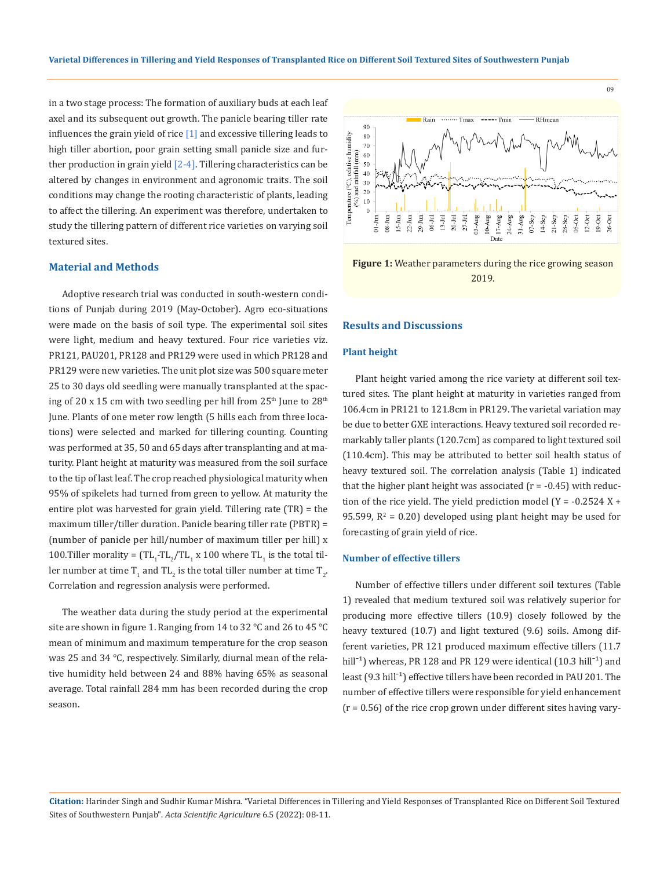in a two stage process: The formation of auxiliary buds at each leaf axel and its subsequent out growth. The panicle bearing tiller rate influences the grain yield of rice  $\lceil 1 \rceil$  and excessive tillering leads to high tiller abortion, poor grain setting small panicle size and further production in grain yield  $[2-4]$ . Tillering characteristics can be altered by changes in environment and agronomic traits. The soil conditions may change the rooting characteristic of plants, leading to affect the tillering. An experiment was therefore, undertaken to study the tillering pattern of different rice varieties on varying soil textured sites.

#### **Material and Methods**

Adoptive research trial was conducted in south-western conditions of Punjab during 2019 (May-October). Agro eco-situations were made on the basis of soil type. The experimental soil sites were light, medium and heavy textured. Four rice varieties viz. PR121, PAU201, PR128 and PR129 were used in which PR128 and PR129 were new varieties. The unit plot size was 500 square meter 25 to 30 days old seedling were manually transplanted at the spacing of 20 x 15 cm with two seedling per hill from  $25<sup>th</sup>$  June to  $28<sup>th</sup>$ June. Plants of one meter row length (5 hills each from three locations) were selected and marked for tillering counting. Counting was performed at 35, 50 and 65 days after transplanting and at maturity. Plant height at maturity was measured from the soil surface to the tip of last leaf. The crop reached physiological maturity when 95% of spikelets had turned from green to yellow. At maturity the entire plot was harvested for grain yield. Tillering rate (TR) = the maximum tiller/tiller duration. Panicle bearing tiller rate (PBTR) = (number of panicle per hill/number of maximum tiller per hill) x 100.Tiller morality =  $(TL_1 - TL_2) / TL_1$  x 100 where  $TL_1$  is the total tiller number at time T<sub>1</sub> and TL<sub>2</sub> is the total tiller number at time T<sub>2</sub>. Correlation and regression analysis were performed.

The weather data during the study period at the experimental site are shown in figure 1. Ranging from 14 to 32 °C and 26 to 45 °C mean of minimum and maximum temperature for the crop season was 25 and 34 °C, respectively. Similarly, diurnal mean of the relative humidity held between 24 and 88% having 65% as seasonal average. Total rainfall 284 mm has been recorded during the crop season.



**Figure 1:** Weather parameters during the rice growing season 2019.

#### **Results and Discussions**

#### **Plant height**

Plant height varied among the rice variety at different soil textured sites. The plant height at maturity in varieties ranged from 106.4cm in PR121 to 121.8cm in PR129. The varietal variation may be due to better GXE interactions. Heavy textured soil recorded remarkably taller plants (120.7cm) as compared to light textured soil (110.4cm). This may be attributed to better soil health status of heavy textured soil. The correlation analysis (Table 1) indicated that the higher plant height was associated  $(r = -0.45)$  with reduction of the rice yield. The yield prediction model (Y =  $-0.2524$  X + 95.599,  $R^2$  = 0.20) developed using plant height may be used for forecasting of grain yield of rice.

#### **Number of effective tillers**

Number of effective tillers under different soil textures (Table 1) revealed that medium textured soil was relatively superior for producing more effective tillers (10.9) closely followed by the heavy textured (10.7) and light textured (9.6) soils. Among different varieties, PR 121 produced maximum effective tillers (11.7 hill<sup>-1</sup>) whereas, PR 128 and PR 129 were identical (10.3 hill<sup>-1</sup>) and least (9.3 hill<sup>-1</sup>) effective tillers have been recorded in PAU 201. The number of effective tillers were responsible for yield enhancement  $(r = 0.56)$  of the rice crop grown under different sites having vary-

**Citation:** Harinder Singh and Sudhir Kumar Mishra. "Varietal Differences in Tillering and Yield Responses of Transplanted Rice on Different Soil Textured Sites of Southwestern Punjab". *Acta Scientific Agriculture* 6.5 (2022): 08-11.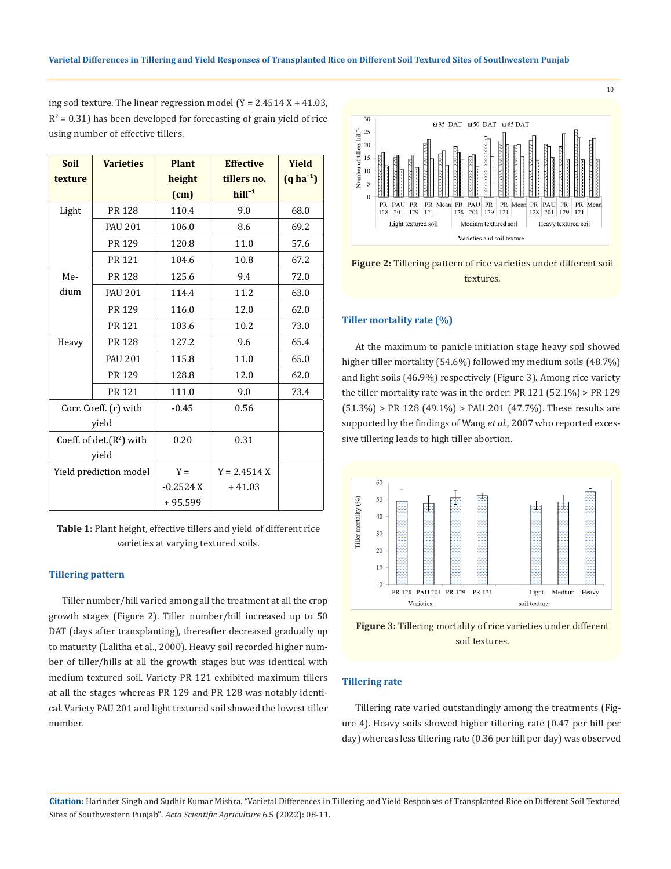ing soil texture. The linear regression model  $(Y = 2.4514 X + 41.03)$ ,  $R^2$  = 0.31) has been developed for forecasting of grain yield of rice using number of effective tillers.

| <b>Soil</b>                 | <b>Varieties</b> | <b>Plant</b> | <b>Effective</b> | Yield      |
|-----------------------------|------------------|--------------|------------------|------------|
| texture                     |                  | height       | tillers no.      | $(q ha-1)$ |
|                             |                  | (cm)         | $hill-1$         |            |
| Light                       | PR 128           | 110.4        | 9.0              | 68.0       |
|                             | <b>PAU 201</b>   | 106.0        | 8.6              | 69.2       |
|                             | PR 129           | 120.8        | 11.0             | 57.6       |
|                             | <b>PR 121</b>    | 104.6        | 10.8             | 67.2       |
| Me-                         | PR 128           | 125.6        | 9.4              | 72.0       |
| dium                        | <b>PAU 201</b>   | 114.4        | 11.2             | 63.0       |
|                             | PR 129           | 116.0        | 12.0             | 62.0       |
|                             | PR 121           | 103.6        | 10.2             | 73.0       |
| Heavy                       | PR 128           | 127.2        | 9.6              | 65.4       |
|                             | <b>PAU 201</b>   | 115.8        | 11.0             | 65.0       |
|                             | PR 129           | 128.8        | 12.0             | 62.0       |
|                             | PR 121           | 111.0        | 9.0              | 73.4       |
| Corr. Coeff. (r) with       |                  | $-0.45$      | 0.56             |            |
| yield                       |                  |              |                  |            |
| Coeff. of det. $(R^2)$ with |                  | 0.20         | 0.31             |            |
| yield                       |                  |              |                  |            |
| Yield prediction model      |                  | $Y =$        | $Y = 2.4514 X$   |            |
|                             |                  | $-0.2524X$   | $+41.03$         |            |
|                             |                  | $+95.599$    |                  |            |

**Table 1:** Plant height, effective tillers and yield of different rice varieties at varying textured soils.

#### **Tillering pattern**

Tiller number/hill varied among all the treatment at all the crop growth stages (Figure 2). Tiller number/hill increased up to 50 DAT (days after transplanting), thereafter decreased gradually up to maturity (Lalitha et al., 2000). Heavy soil recorded higher number of tiller/hills at all the growth stages but was identical with medium textured soil. Variety PR 121 exhibited maximum tillers at all the stages whereas PR 129 and PR 128 was notably identical. Variety PAU 201 and light textured soil showed the lowest tiller number.



**Figure 2:** Tillering pattern of rice varieties under different soil textures.

#### **Tiller mortality rate (%)**

At the maximum to panicle initiation stage heavy soil showed higher tiller mortality (54.6%) followed my medium soils (48.7%) and light soils (46.9%) respectively (Figure 3). Among rice variety the tiller mortality rate was in the order: PR 121 (52.1%) > PR 129  $(51.3\%)$  > PR 128 (49.1%) > PAU 201 (47.7%). These results are supported by the findings of Wang *et al.*, 2007 who reported excessive tillering leads to high tiller abortion.



**Figure 3:** Tillering mortality of rice varieties under different soil textures.

#### **Tillering rate**

Tillering rate varied outstandingly among the treatments (Figure 4). Heavy soils showed higher tillering rate (0.47 per hill per day) whereas less tillering rate (0.36 per hill per day) was observed

**Citation:** Harinder Singh and Sudhir Kumar Mishra. "Varietal Differences in Tillering and Yield Responses of Transplanted Rice on Different Soil Textured Sites of Southwestern Punjab". *Acta Scientific Agriculture* 6.5 (2022): 08-11.